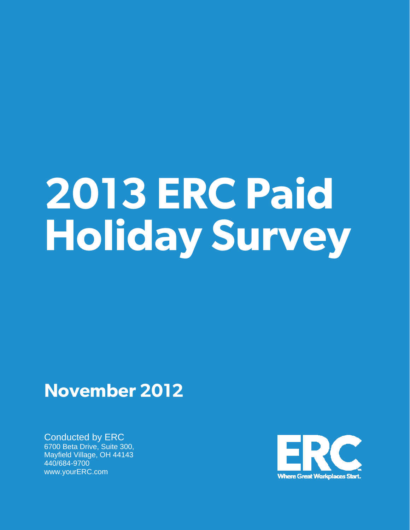# **2013 ERC Paid Holiday Survey**

## **November 2012**

Conducted by ERC 6700 Beta Drive, Suite 300, Mayfield Village, OH 44143 440/684-9700 www.yourERC.com

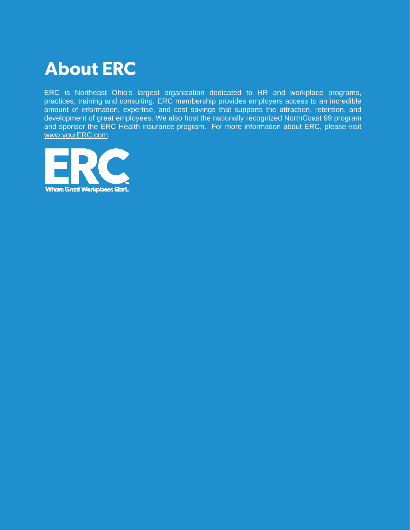# **About ERC**

ERC is Northeast Ohio's largest organization dedicated to HR and workplace programs, practices, training and consulting. ERC membership provides employers access to an incredible amount of information, expertise, and cost savings that supports the attraction, retention, and development of great employees. We also host the nationally recognized NorthCoast 99 program and sponsor the ERC Health insurance program. For more information about ERC, please visit [www.yourERC.com](http://www.yourerc.com/).

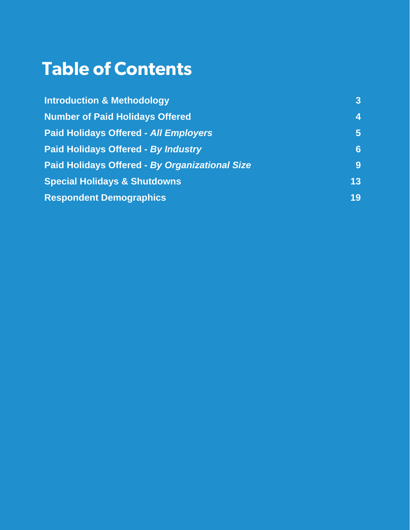# **Table of Contents**

| <b>Introduction &amp; Methodology</b>                 | 3 <sup>1</sup>  |
|-------------------------------------------------------|-----------------|
| <b>Number of Paid Holidays Offered</b>                | $\overline{4}$  |
| <b>Paid Holidays Offered - All Employers</b>          | 5 <sup>1</sup>  |
| <b>Paid Holidays Offered - By Industry</b>            | 6 <sup>1</sup>  |
| <b>Paid Holidays Offered - By Organizational Size</b> | $9^{\circ}$     |
| <b>Special Holidays &amp; Shutdowns</b>               | 13 <sup>°</sup> |
| <b>Respondent Demographics</b>                        | 19              |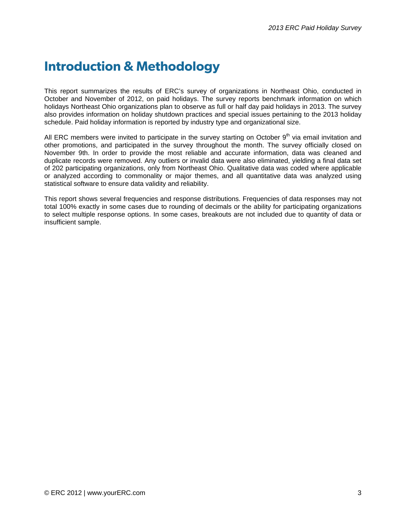## **Introduction & Methodology**

This report summarizes the results of ERC's survey of organizations in Northeast Ohio, conducted in October and November of 2012, on paid holidays. The survey reports benchmark information on which holidays Northeast Ohio organizations plan to observe as full or half day paid holidays in 2013. The survey also provides information on holiday shutdown practices and special issues pertaining to the 2013 holiday schedule. Paid holiday information is reported by industry type and organizational size.

All ERC members were invited to participate in the survey starting on October  $9<sup>th</sup>$  via email invitation and other promotions, and participated in the survey throughout the month. The survey officially closed on November 9th. In order to provide the most reliable and accurate information, data was cleaned and duplicate records were removed. Any outliers or invalid data were also eliminated, yielding a final data set of 202 participating organizations, only from Northeast Ohio. Qualitative data was coded where applicable or analyzed according to commonality or major themes, and all quantitative data was analyzed using statistical software to ensure data validity and reliability.

This report shows several frequencies and response distributions. Frequencies of data responses may not total 100% exactly in some cases due to rounding of decimals or the ability for participating organizations to select multiple response options. In some cases, breakouts are not included due to quantity of data or insufficient sample.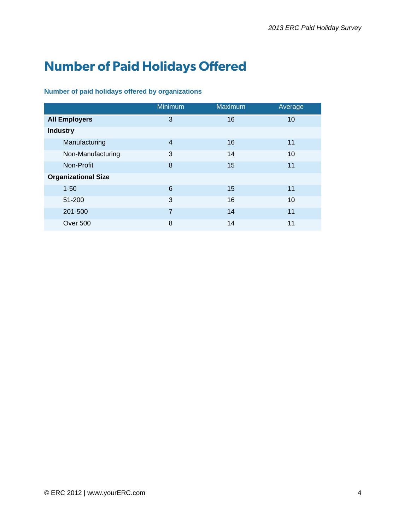## **Number of Paid Holidays Offered**

#### **Number of paid holidays offered by organizations**

|                            | <b>Minimum</b> | <b>Maximum</b> | Average |
|----------------------------|----------------|----------------|---------|
| <b>All Employers</b>       | 3              | 16             | 10      |
| <b>Industry</b>            |                |                |         |
| Manufacturing              | $\overline{4}$ | 16             | 11      |
| Non-Manufacturing          | 3              | 14             | 10      |
| Non-Profit                 | 8              | 15             | 11      |
| <b>Organizational Size</b> |                |                |         |
| $1 - 50$                   | 6              | 15             | 11      |
| 51-200                     | 3              | 16             | 10      |
| 201-500                    | 7              | 14             | 11      |
| Over 500                   | 8              | 14             | 11      |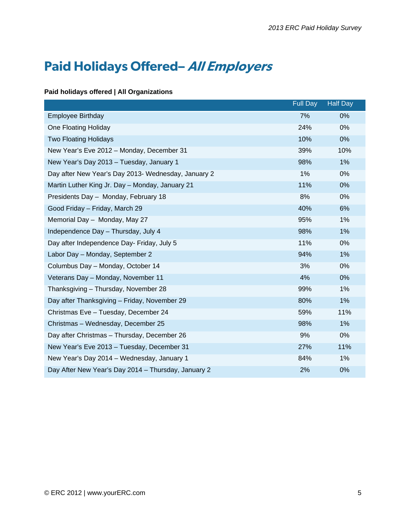## **Paid Holidays Offered– All Employers**

#### **Paid holidays offered | All Organizations**

|                                                     | Full Day | <b>Half Day</b> |
|-----------------------------------------------------|----------|-----------------|
| <b>Employee Birthday</b>                            | 7%       | $0\%$           |
| One Floating Holiday                                | 24%      | 0%              |
| <b>Two Floating Holidays</b>                        | 10%      | 0%              |
| New Year's Eve 2012 - Monday, December 31           | 39%      | 10%             |
| New Year's Day 2013 - Tuesday, January 1            | 98%      | 1%              |
| Day after New Year's Day 2013- Wednesday, January 2 | 1%       | 0%              |
| Martin Luther King Jr. Day - Monday, January 21     | 11%      | 0%              |
| Presidents Day - Monday, February 18                | 8%       | 0%              |
| Good Friday - Friday, March 29                      | 40%      | 6%              |
| Memorial Day - Monday, May 27                       | 95%      | 1%              |
| Independence Day - Thursday, July 4                 | 98%      | 1%              |
| Day after Independence Day- Friday, July 5          | 11%      | 0%              |
| Labor Day - Monday, September 2                     | 94%      | 1%              |
| Columbus Day - Monday, October 14                   | 3%       | 0%              |
| Veterans Day - Monday, November 11                  | 4%       | 0%              |
| Thanksgiving - Thursday, November 28                | 99%      | 1%              |
| Day after Thanksgiving - Friday, November 29        | 80%      | 1%              |
| Christmas Eve - Tuesday, December 24                | 59%      | 11%             |
| Christmas - Wednesday, December 25                  | 98%      | 1%              |
| Day after Christmas - Thursday, December 26         | 9%       | 0%              |
| New Year's Eve 2013 - Tuesday, December 31          | 27%      | 11%             |
| New Year's Day 2014 - Wednesday, January 1          | 84%      | 1%              |
| Day After New Year's Day 2014 - Thursday, January 2 | 2%       | 0%              |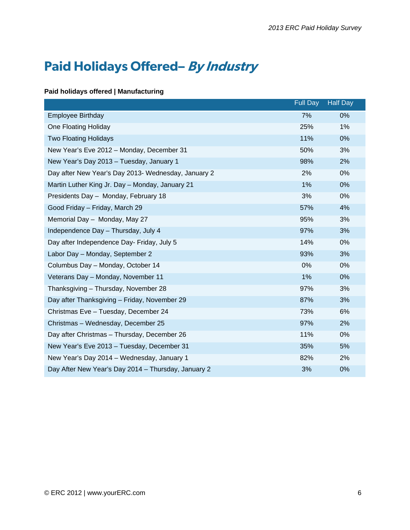## **Paid Holidays Offered– By Industry**

#### **Paid holidays offered | Manufacturing**

|                                                     | <b>Full Day</b> | <b>Half Day</b> |
|-----------------------------------------------------|-----------------|-----------------|
| <b>Employee Birthday</b>                            | 7%              | $0\%$           |
| One Floating Holiday                                | 25%             | 1%              |
| <b>Two Floating Holidays</b>                        | 11%             | 0%              |
| New Year's Eve 2012 - Monday, December 31           | 50%             | 3%              |
| New Year's Day 2013 - Tuesday, January 1            | 98%             | 2%              |
| Day after New Year's Day 2013- Wednesday, January 2 | 2%              | 0%              |
| Martin Luther King Jr. Day - Monday, January 21     | 1%              | 0%              |
| Presidents Day - Monday, February 18                | 3%              | 0%              |
| Good Friday - Friday, March 29                      | 57%             | 4%              |
| Memorial Day - Monday, May 27                       | 95%             | 3%              |
| Independence Day - Thursday, July 4                 | 97%             | 3%              |
| Day after Independence Day- Friday, July 5          | 14%             | 0%              |
| Labor Day - Monday, September 2                     | 93%             | 3%              |
| Columbus Day - Monday, October 14                   | 0%              | 0%              |
| Veterans Day - Monday, November 11                  | 1%              | 0%              |
| Thanksgiving - Thursday, November 28                | 97%             | 3%              |
| Day after Thanksgiving - Friday, November 29        | 87%             | 3%              |
| Christmas Eve - Tuesday, December 24                | 73%             | 6%              |
| Christmas - Wednesday, December 25                  | 97%             | 2%              |
| Day after Christmas - Thursday, December 26         | 11%             | $0\%$           |
| New Year's Eve 2013 - Tuesday, December 31          | 35%             | 5%              |
| New Year's Day 2014 - Wednesday, January 1          | 82%             | 2%              |
| Day After New Year's Day 2014 - Thursday, January 2 | 3%              | 0%              |
|                                                     |                 |                 |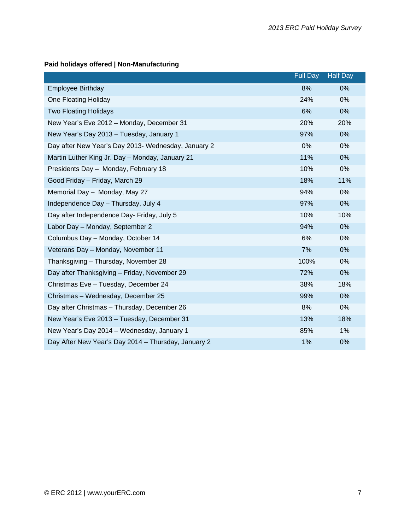#### **Paid holidays offered | Non-Manufacturing**

|                                                     | <b>Full Day</b> | <b>Half Day</b> |
|-----------------------------------------------------|-----------------|-----------------|
| <b>Employee Birthday</b>                            | 8%              | $0\%$           |
| One Floating Holiday                                | 24%             | $0\%$           |
| <b>Two Floating Holidays</b>                        | 6%              | 0%              |
| New Year's Eve 2012 - Monday, December 31           | 20%             | 20%             |
| New Year's Day 2013 - Tuesday, January 1            | 97%             | 0%              |
| Day after New Year's Day 2013- Wednesday, January 2 | 0%              | $0\%$           |
| Martin Luther King Jr. Day - Monday, January 21     | 11%             | 0%              |
| Presidents Day - Monday, February 18                | 10%             | 0%              |
| Good Friday - Friday, March 29                      | 18%             | 11%             |
| Memorial Day - Monday, May 27                       | 94%             | 0%              |
| Independence Day - Thursday, July 4                 | 97%             | 0%              |
| Day after Independence Day- Friday, July 5          | 10%             | 10%             |
| Labor Day - Monday, September 2                     | 94%             | 0%              |
| Columbus Day - Monday, October 14                   | 6%              | 0%              |
| Veterans Day - Monday, November 11                  | 7%              | 0%              |
| Thanksgiving - Thursday, November 28                | 100%            | 0%              |
| Day after Thanksgiving - Friday, November 29        | 72%             | 0%              |
| Christmas Eve - Tuesday, December 24                | 38%             | 18%             |
| Christmas - Wednesday, December 25                  | 99%             | 0%              |
| Day after Christmas - Thursday, December 26         | 8%              | 0%              |
| New Year's Eve 2013 - Tuesday, December 31          | 13%             | 18%             |
| New Year's Day 2014 - Wednesday, January 1          | 85%             | 1%              |
| Day After New Year's Day 2014 - Thursday, January 2 | 1%              | 0%              |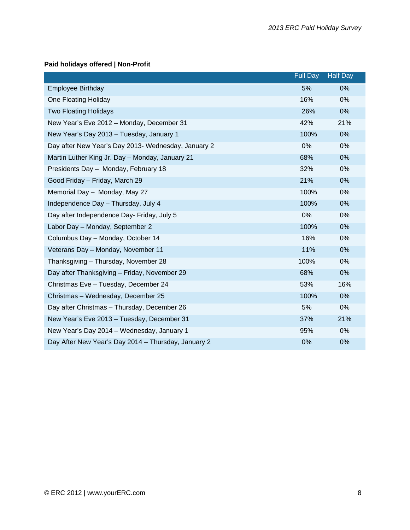#### **Paid holidays offered | Non-Profit**

|                                                     | <b>Full Day</b> | <b>Half Day</b> |
|-----------------------------------------------------|-----------------|-----------------|
| <b>Employee Birthday</b>                            | 5%              | 0%              |
| One Floating Holiday                                | 16%             | 0%              |
| <b>Two Floating Holidays</b>                        | 26%             | 0%              |
| New Year's Eve 2012 - Monday, December 31           | 42%             | 21%             |
| New Year's Day 2013 - Tuesday, January 1            | 100%            | 0%              |
| Day after New Year's Day 2013- Wednesday, January 2 | 0%              | 0%              |
| Martin Luther King Jr. Day - Monday, January 21     | 68%             | 0%              |
| Presidents Day - Monday, February 18                | 32%             | 0%              |
| Good Friday - Friday, March 29                      | 21%             | 0%              |
| Memorial Day - Monday, May 27                       | 100%            | 0%              |
| Independence Day - Thursday, July 4                 | 100%            | 0%              |
| Day after Independence Day- Friday, July 5          | 0%              | 0%              |
| Labor Day - Monday, September 2                     | 100%            | 0%              |
| Columbus Day - Monday, October 14                   | 16%             | 0%              |
| Veterans Day - Monday, November 11                  | 11%             | 0%              |
| Thanksgiving - Thursday, November 28                | 100%            | 0%              |
| Day after Thanksgiving - Friday, November 29        | 68%             | 0%              |
| Christmas Eve - Tuesday, December 24                | 53%             | 16%             |
| Christmas - Wednesday, December 25                  | 100%            | 0%              |
| Day after Christmas - Thursday, December 26         | 5%              | 0%              |
| New Year's Eve 2013 - Tuesday, December 31          | 37%             | 21%             |
| New Year's Day 2014 - Wednesday, January 1          | 95%             | 0%              |
| Day After New Year's Day 2014 - Thursday, January 2 | 0%              | 0%              |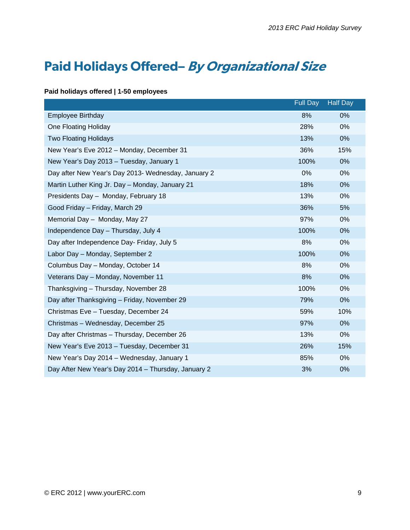## **Paid Holidays Offered– By Organizational Size**

#### **Paid holidays offered | 1-50 employees**

|                                                     | <b>Full Day</b> | <b>Half Day</b> |
|-----------------------------------------------------|-----------------|-----------------|
| <b>Employee Birthday</b>                            | 8%              | $0\%$           |
| One Floating Holiday                                | 28%             | 0%              |
| <b>Two Floating Holidays</b>                        | 13%             | 0%              |
| New Year's Eve 2012 - Monday, December 31           | 36%             | 15%             |
| New Year's Day 2013 - Tuesday, January 1            | 100%            | 0%              |
| Day after New Year's Day 2013- Wednesday, January 2 | 0%              | 0%              |
| Martin Luther King Jr. Day - Monday, January 21     | 18%             | 0%              |
| Presidents Day - Monday, February 18                | 13%             | 0%              |
| Good Friday - Friday, March 29                      | 36%             | 5%              |
| Memorial Day - Monday, May 27                       | 97%             | 0%              |
| Independence Day - Thursday, July 4                 | 100%            | 0%              |
| Day after Independence Day- Friday, July 5          | 8%              | 0%              |
| Labor Day - Monday, September 2                     | 100%            | 0%              |
| Columbus Day - Monday, October 14                   | 8%              | 0%              |
| Veterans Day - Monday, November 11                  | 8%              | 0%              |
| Thanksgiving - Thursday, November 28                | 100%            | 0%              |
| Day after Thanksgiving - Friday, November 29        | 79%             | 0%              |
| Christmas Eve - Tuesday, December 24                | 59%             | 10%             |
| Christmas - Wednesday, December 25                  | 97%             | 0%              |
| Day after Christmas - Thursday, December 26         | 13%             | 0%              |
| New Year's Eve 2013 - Tuesday, December 31          | 26%             | 15%             |
| New Year's Day 2014 - Wednesday, January 1          | 85%             | $0\%$           |
| Day After New Year's Day 2014 - Thursday, January 2 | 3%              | 0%              |
|                                                     |                 |                 |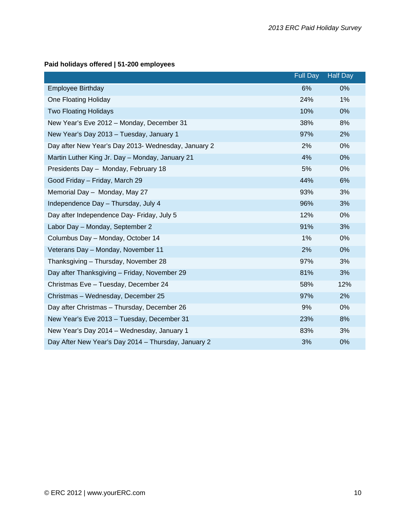#### **Paid holidays offered | 51-200 employees**

|                                                     | <b>Full Day</b> | <b>Half Day</b> |
|-----------------------------------------------------|-----------------|-----------------|
| <b>Employee Birthday</b>                            | 6%              | $0\%$           |
| One Floating Holiday                                | 24%             | 1%              |
| <b>Two Floating Holidays</b>                        | 10%             | 0%              |
| New Year's Eve 2012 - Monday, December 31           | 38%             | 8%              |
| New Year's Day 2013 - Tuesday, January 1            | 97%             | 2%              |
| Day after New Year's Day 2013- Wednesday, January 2 | 2%              | 0%              |
| Martin Luther King Jr. Day - Monday, January 21     | 4%              | 0%              |
| Presidents Day - Monday, February 18                | 5%              | $0\%$           |
| Good Friday - Friday, March 29                      | 44%             | 6%              |
| Memorial Day - Monday, May 27                       | 93%             | 3%              |
| Independence Day - Thursday, July 4                 | 96%             | 3%              |
| Day after Independence Day- Friday, July 5          | 12%             | 0%              |
| Labor Day - Monday, September 2                     | 91%             | 3%              |
| Columbus Day - Monday, October 14                   | 1%              | $0\%$           |
| Veterans Day - Monday, November 11                  | 2%              | 0%              |
| Thanksgiving - Thursday, November 28                | 97%             | 3%              |
| Day after Thanksgiving - Friday, November 29        | 81%             | 3%              |
| Christmas Eve - Tuesday, December 24                | 58%             | 12%             |
| Christmas - Wednesday, December 25                  | 97%             | 2%              |
| Day after Christmas - Thursday, December 26         | 9%              | $0\%$           |
| New Year's Eve 2013 - Tuesday, December 31          | 23%             | 8%              |
| New Year's Day 2014 - Wednesday, January 1          | 83%             | 3%              |
| Day After New Year's Day 2014 - Thursday, January 2 | 3%              | 0%              |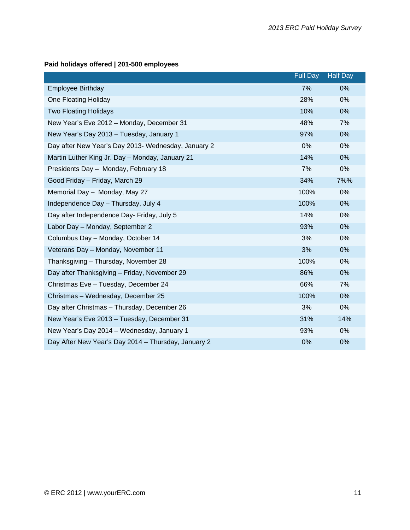#### **Paid holidays offered | 201-500 employees**

|                                                     | <b>Full Day</b> | <b>Half Day</b> |
|-----------------------------------------------------|-----------------|-----------------|
| <b>Employee Birthday</b>                            | 7%              | 0%              |
| One Floating Holiday                                | 28%             | 0%              |
| <b>Two Floating Holidays</b>                        | 10%             | 0%              |
| New Year's Eve 2012 - Monday, December 31           | 48%             | 7%              |
| New Year's Day 2013 - Tuesday, January 1            | 97%             | 0%              |
| Day after New Year's Day 2013- Wednesday, January 2 | 0%              | 0%              |
| Martin Luther King Jr. Day - Monday, January 21     | 14%             | 0%              |
| Presidents Day - Monday, February 18                | 7%              | 0%              |
| Good Friday - Friday, March 29                      | 34%             | 7%%             |
| Memorial Day - Monday, May 27                       | 100%            | 0%              |
| Independence Day - Thursday, July 4                 | 100%            | 0%              |
| Day after Independence Day- Friday, July 5          | 14%             | 0%              |
| Labor Day - Monday, September 2                     | 93%             | 0%              |
| Columbus Day - Monday, October 14                   | 3%              | 0%              |
| Veterans Day - Monday, November 11                  | 3%              | 0%              |
| Thanksgiving - Thursday, November 28                | 100%            | $0\%$           |
| Day after Thanksgiving - Friday, November 29        | 86%             | 0%              |
| Christmas Eve - Tuesday, December 24                | 66%             | 7%              |
| Christmas - Wednesday, December 25                  | 100%            | 0%              |
| Day after Christmas - Thursday, December 26         | 3%              | 0%              |
| New Year's Eve 2013 - Tuesday, December 31          | 31%             | 14%             |
| New Year's Day 2014 - Wednesday, January 1          | 93%             | 0%              |
| Day After New Year's Day 2014 - Thursday, January 2 | 0%              | 0%              |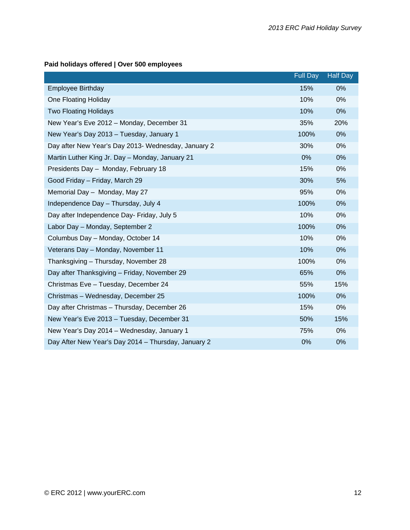#### **Paid holidays offered | Over 500 employees**

|                                                     | <b>Full Day</b> | <b>Half Day</b> |
|-----------------------------------------------------|-----------------|-----------------|
| <b>Employee Birthday</b>                            | 15%             | $0\%$           |
| One Floating Holiday                                | 10%             | 0%              |
| <b>Two Floating Holidays</b>                        | 10%             | 0%              |
| New Year's Eve 2012 - Monday, December 31           | 35%             | 20%             |
| New Year's Day 2013 - Tuesday, January 1            | 100%            | 0%              |
| Day after New Year's Day 2013- Wednesday, January 2 | 30%             | 0%              |
| Martin Luther King Jr. Day - Monday, January 21     | 0%              | 0%              |
| Presidents Day - Monday, February 18                | 15%             | 0%              |
| Good Friday - Friday, March 29                      | 30%             | 5%              |
| Memorial Day - Monday, May 27                       | 95%             | 0%              |
| Independence Day - Thursday, July 4                 | 100%            | 0%              |
| Day after Independence Day- Friday, July 5          | 10%             | 0%              |
| Labor Day - Monday, September 2                     | 100%            | 0%              |
| Columbus Day - Monday, October 14                   | 10%             | 0%              |
| Veterans Day - Monday, November 11                  | 10%             | 0%              |
| Thanksgiving - Thursday, November 28                | 100%            | 0%              |
| Day after Thanksgiving - Friday, November 29        | 65%             | 0%              |
| Christmas Eve - Tuesday, December 24                | 55%             | 15%             |
| Christmas - Wednesday, December 25                  | 100%            | 0%              |
| Day after Christmas - Thursday, December 26         | 15%             | 0%              |
| New Year's Eve 2013 - Tuesday, December 31          | 50%             | 15%             |
| New Year's Day 2014 - Wednesday, January 1          | 75%             | 0%              |
| Day After New Year's Day 2014 - Thursday, January 2 | 0%              | 0%              |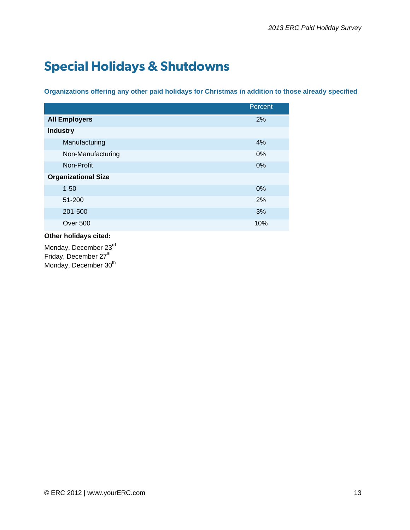## **Special Holidays & Shutdowns**

**Organizations offering any other paid holidays for Christmas in addition to those already specified** 

|                            | Percent |
|----------------------------|---------|
| <b>All Employers</b>       | 2%      |
| <b>Industry</b>            |         |
| Manufacturing              | 4%      |
| Non-Manufacturing          | $0\%$   |
| Non-Profit                 | 0%      |
| <b>Organizational Size</b> |         |
| $1 - 50$                   | 0%      |
| 51-200                     | 2%      |
| 201-500                    | 3%      |
| Over 500                   | 10%     |

#### **Other holidays cited:**

Monday, December 23rd Friday, December  $27<sup>th</sup>$ Monday, December 30<sup>th</sup>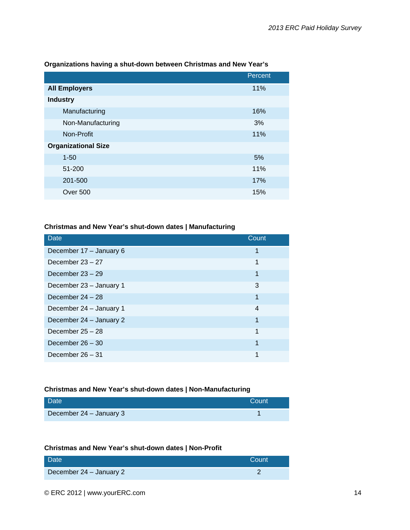|                            | Percent |
|----------------------------|---------|
| <b>All Employers</b>       | 11%     |
| <b>Industry</b>            |         |
| Manufacturing              | 16%     |
| Non-Manufacturing          | 3%      |
| Non-Profit                 | 11%     |
| <b>Organizational Size</b> |         |
| $1 - 50$                   | 5%      |
| 51-200                     | 11%     |
| 201-500                    | 17%     |
| Over 500                   | 15%     |

**Organizations having a shut-down between Christmas and New Year's** 

#### **Christmas and New Year's shut-down dates | Manufacturing**

| <b>Date</b>             | Count |
|-------------------------|-------|
| December 17 - January 6 |       |
| December $23 - 27$      | 1     |
| December $23 - 29$      |       |
| December 23 - January 1 | 3     |
| December $24 - 28$      | 1     |
| December 24 - January 1 | 4     |
| December 24 - January 2 | 1     |
| December $25 - 28$      | 1     |
| December $26 - 30$      | 1     |
| December $26 - 31$      |       |

#### **Christmas and New Year's shut-down dates | Non-Manufacturing**

| <b>Date</b>             | Count <sup>1</sup> |
|-------------------------|--------------------|
| December 24 - January 3 |                    |

#### **Christmas and New Year's shut-down dates | Non-Profit**

| Date                    | Count |
|-------------------------|-------|
| December 24 - January 2 |       |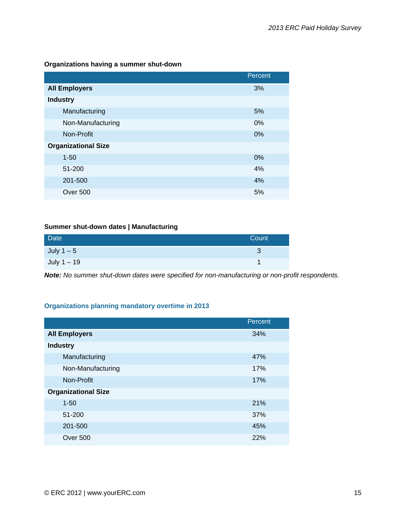#### **Organizations having a summer shut-down**

|                            | Percent |
|----------------------------|---------|
| <b>All Employers</b>       | 3%      |
| <b>Industry</b>            |         |
| Manufacturing              | 5%      |
| Non-Manufacturing          | $0\%$   |
| Non-Profit                 | 0%      |
| <b>Organizational Size</b> |         |
| $1 - 50$                   | $0\%$   |
| 51-200                     | 4%      |
| 201-500                    | 4%      |
| Over 500                   | 5%      |

#### **Summer shut-down dates | Manufacturing**

| Date          | Count |
|---------------|-------|
| July $1-5$    |       |
| July $1 - 19$ |       |

*Note: No summer shut-down dates were specified for non-manufacturing or non-profit respondents.* 

#### **Organizations planning mandatory overtime in 2013**

|                            | Percent |
|----------------------------|---------|
| <b>All Employers</b>       | 34%     |
| <b>Industry</b>            |         |
| Manufacturing              | 47%     |
| Non-Manufacturing          | 17%     |
| Non-Profit                 | 17%     |
| <b>Organizational Size</b> |         |
| $1 - 50$                   | 21%     |
| 51-200                     | 37%     |
| 201-500                    | 45%     |
| Over 500                   | 22%     |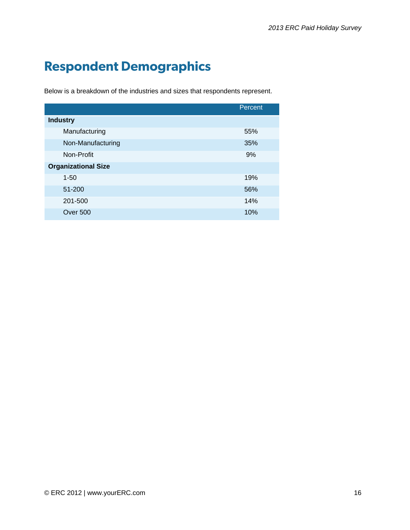## **Respondent Demographics**

Below is a breakdown of the industries and sizes that respondents represent.

|                            | Percent |
|----------------------------|---------|
| <b>Industry</b>            |         |
| Manufacturing              | 55%     |
| Non-Manufacturing          | 35%     |
| Non-Profit                 | 9%      |
| <b>Organizational Size</b> |         |
| $1 - 50$                   | 19%     |
| 51-200                     | 56%     |
| 201-500                    | 14%     |
| Over 500                   | 10%     |